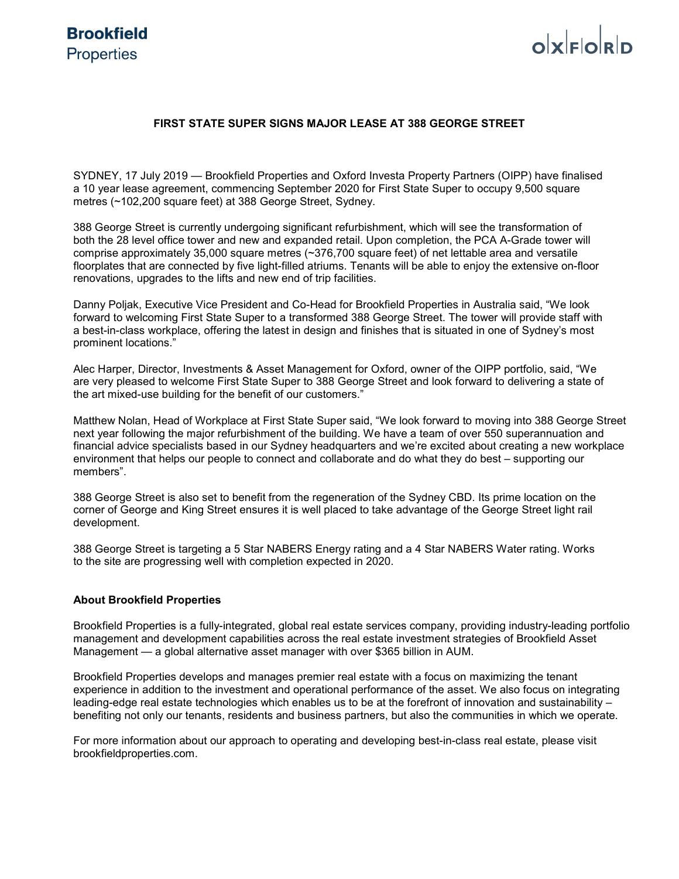# $\alpha$ <sub>E $\alpha$ </sub> $\beta$ <sub>E $\alpha$ </sub>

### **FIRST STATE SUPER SIGNS MAJOR LEASE AT 388 GEORGE STREET**

SYDNEY, 17 July 2019 — Brookfield Properties and Oxford Investa Property Partners (OIPP) have finalised a 10 year lease agreement, commencing September 2020 for First State Super to occupy 9,500 square metres (~102,200 square feet) at 388 George Street, Sydney.

388 George Street is currently undergoing significant refurbishment, which will see the transformation of both the 28 level office tower and new and expanded retail. Upon completion, the PCA A-Grade tower will comprise approximately 35,000 square metres (~376,700 square feet) of net lettable area and versatile floorplates that are connected by five light-filled atriums. Tenants will be able to enjoy the extensive on-floor renovations, upgrades to the lifts and new end of trip facilities.

Danny Poljak, Executive Vice President and Co-Head for Brookfield Properties in Australia said, "We look forward to welcoming First State Super to a transformed 388 George Street. The tower will provide staff with a best-in-class workplace, offering the latest in design and finishes that is situated in one of Sydney's most prominent locations."

Alec Harper, Director, Investments & Asset Management for Oxford, owner of the OIPP portfolio, said, "We are very pleased to welcome First State Super to 388 George Street and look forward to delivering a state of the art mixed-use building for the benefit of our customers."

Matthew Nolan, Head of Workplace at First State Super said, "We look forward to moving into 388 George Street next year following the major refurbishment of the building. We have a team of over 550 superannuation and financial advice specialists based in our Sydney headquarters and we're excited about creating a new workplace environment that helps our people to connect and collaborate and do what they do best – supporting our members".

388 George Street is also set to benefit from the regeneration of the Sydney CBD. Its prime location on the corner of George and King Street ensures it is well placed to take advantage of the George Street light rail development.

388 George Street is targeting a 5 Star NABERS Energy rating and a 4 Star NABERS Water rating. Works to the site are progressing well with completion expected in 2020.

#### **About Brookfield Properties**

Brookfield Properties is a fully-integrated, global real estate services company, providing industry-leading portfolio management and development capabilities across the real estate investment strategies of Brookfield Asset Management — a global alternative asset manager with over \$365 billion in AUM.

Brookfield Properties develops and manages premier real estate with a focus on maximizing the tenant experience in addition to the investment and operational performance of the asset. We also focus on integrating leading-edge real estate technologies which enables us to be at the forefront of innovation and sustainability – benefiting not only our tenants, residents and business partners, but also the communities in which we operate.

For more information about our approach to operating and developing best-in-class real estate, please visit brookfieldproperties.com.